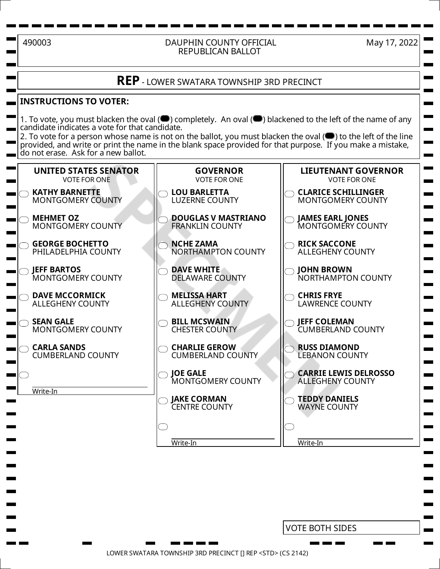## 490003 DAUPHIN COUNTY OFFICIAL REPUBLICAN BALLOT

May 17, 2022

## **REP** - LOWER SWATARA TOWNSHIP 3RD PRECINCT

## **INSTRUCTIONS TO VOTER:**

1. To vote, you must blacken the oval  $(\blacksquare)$  completely. An oval  $(\blacksquare)$  blackened to the left of the name of any candidate indicates a vote for that candidate.

2. To vote for a person whose name is not on the ballot, you must blacken the oval  $($ **)** to the left of the line provided, and write or print the name in the blank space provided for that purpose. If you make a mistake, do not erase. Ask for a new ballot.



VOTE BOTH SIDES